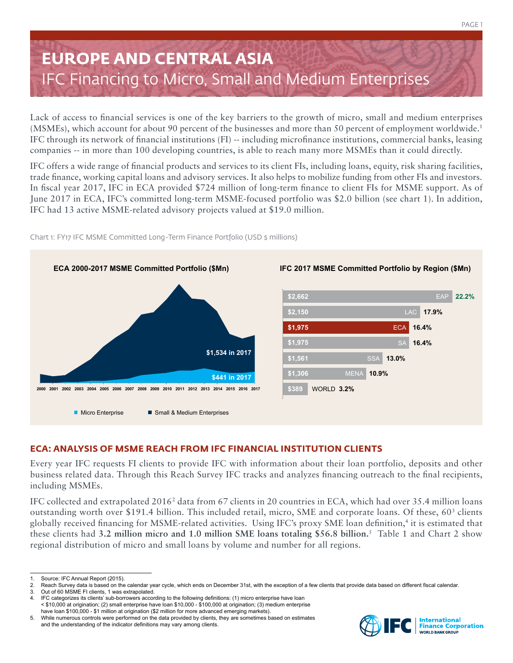# **EUROPE AND CENTRAL ASIA** IFC Financing to Micro, Small and Medium Enterprises

Lack of access to financial services is one of the key barriers to the growth of micro, small and medium enterprises (MSMEs), which account for about 90 percent of the businesses and more than 50 percent of employment worldwide.1 IFC through its network of financial institutions (FI) -- including microfinance institutions, commercial banks, leasing companies -- in more than 100 developing countries, is able to reach many more MSMEs than it could directly.

IFC offers a wide range of financial products and services to its client FIs, including loans, equity, risk sharing facilities, trade finance, working capital loans and advisory services. It also helps to mobilize funding from other FIs and investors. In fiscal year 2017, IFC in ECA provided \$724 million of long-term finance to client FIs for MSME support. As of June 2017 in ECA, IFC's committed long-term MSME-focused portfolio was \$2.0 billion (see chart 1). In addition, IFC had 13 active MSME-related advisory projects valued at \$19.0 million.



Chart 1: FY17 IFC MSME Committed Long-Term Finance Portfolio (USD \$ millions)

## **ECA: ANALYSIS OF MSME REACH FROM IFC FINANCIAL INSTITUTION CLIENTS**

Every year IFC requests FI clients to provide IFC with information about their loan portfolio, deposits and other business related data. Through this Reach Survey IFC tracks and analyzes financing outreach to the final recipients, including MSMEs.

IFC collected and extrapolated 2016<sup>2</sup> data from 67 clients in 20 countries in ECA, which had over 35.4 million loans outstanding worth over \$191.4 billion. This included retail, micro, SME and corporate loans. Of these, 60<sup>3</sup> clients globally received financing for MSME-related activities. Using IFC's proxy SME loan definition,4 it is estimated that these clients had **3.2 million micro and 1.0 million SME loans totaling \$56.8 billion.**<sup>5</sup> Table 1 and Chart 2 show regional distribution of micro and small loans by volume and number for all regions.



Source: IFC Annual Report (2015).

<sup>2.</sup> Reach Survey data is based on the calendar year cycle, which ends on December 31st, with the exception of a few clients that provide data based on different fiscal calendar.<br>3. Out of 60 MSME FI clients, 1 was extrapola

Out of 60 MSME FI clients, 1 was extrapolated.

<sup>4.</sup> IFC categorizes its clients' sub-borrowers according to the following definitions: (1) micro enterprise have loan < \$10,000 at origination; (2) small enterprise have loan \$10,000 - \$100,000 at origination; (3) medium enterprise have loan \$100,000 - \$1 million at origination (\$2 million for more advanced emerging markets).

<sup>5.</sup> While numerous controls were performed on the data provided by clients, they are sometimes based on estimates and the understanding of the indicator definitions may vary among clients.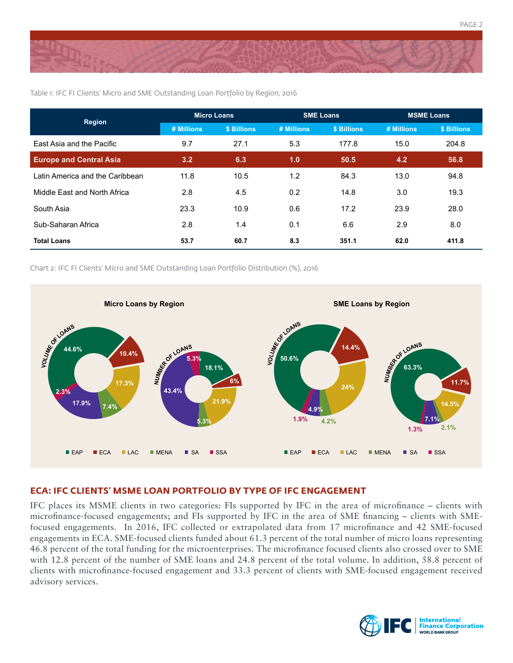

| <b>Region</b>                   | <b>Micro Loans</b> |             | <b>SME Loans</b> |             | <b>MSME Loans</b> |             |
|---------------------------------|--------------------|-------------|------------------|-------------|-------------------|-------------|
|                                 | # Millions         | \$ Billions | # Millions       | \$ Billions | # Millions        | \$ Billions |
| East Asia and the Pacific       | 9.7                | 27.1        | 5.3              | 177.8       | 15.0              | 204.8       |
| <b>Europe and Central Asia</b>  | 3.2                | 6.3         | 1.0              | 50.5        | 4.2               | 56.8        |
| Latin America and the Caribbean | 11.8               | 10.5        | 1.2              | 84.3        | 13.0              | 94.8        |
| Middle East and North Africa    | 2.8                | 4.5         | 0.2              | 14.8        | 3.0               | 19.3        |
| South Asia                      | 23.3               | 10.9        | 0.6              | 17.2        | 23.9              | 28.0        |
| Sub-Saharan Africa              | 2.8                | 1.4         | 0.1              | 6.6         | 2.9               | 8.0         |
| <b>Total Loans</b>              | 53.7               | 60.7        | 8.3              | 351.1       | 62.0              | 411.8       |

Table 1: IFC FI Clients' Micro and SME Outstanding Loan Portfolio by Region, 2016

Chart 2: IFC FI Clients' Micro and SME Outstanding Loan Portfolio Distribution (%), 2016



### **ECA: IFC CLIENTS' MSME LOAN PORTFOLIO BY TYPE OF IFC ENGAGEMENT**

IFC places its MSME clients in two categories: FIs supported by IFC in the area of microfinance – clients with microfinance-focused engagements; and FIs supported by IFC in the area of SME financing – clients with SMEfocused engagements. In 2016, IFC collected or extrapolated data from 17 microfinance and 42 SME-focused engagements in ECA. SME-focused clients funded about 61.3 percent of the total number of micro loans representing 46.8 percent of the total funding for the microenterprises. The microfinance focused clients also crossed over to SME with 12.8 percent of the number of SME loans and 24.8 percent of the total volume. In addition, 58.8 percent of clients with microfinance-focused engagement and 33.3 percent of clients with SME-focused engagement received advisory services.



PAGE 2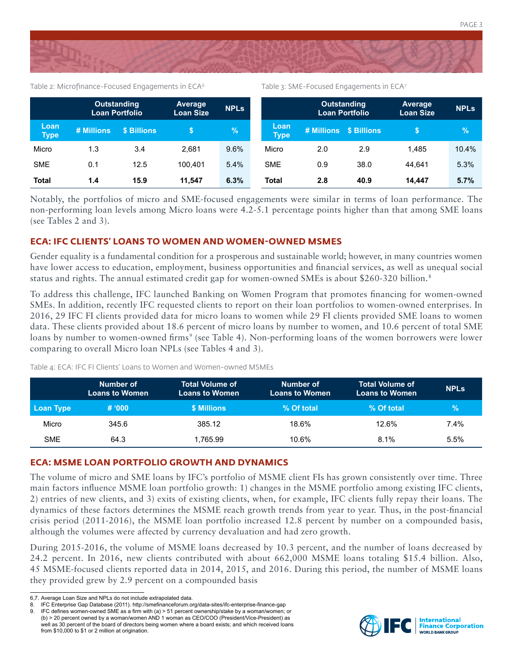

Table 2: Microfinance-Focused Engagements in ECA<sup>6</sup>

|  | Table 3: SME-Focused Engagements in ECA7 |  |
|--|------------------------------------------|--|
|  |                                          |  |

|                     |            | <b>Outstanding</b><br><b>Loan Portfolio</b> | <b>Average</b><br><b>Loan Size</b> | <b>NPLs</b> |                     | <b>Outstanding</b><br><b>Loan Portfolio</b> |                        | <b>Average</b><br><b>Loan Size</b> | <b>NPLs</b> |
|---------------------|------------|---------------------------------------------|------------------------------------|-------------|---------------------|---------------------------------------------|------------------------|------------------------------------|-------------|
| Loan<br><b>Type</b> | # Millions | \$ Billions                                 |                                    | %           | Loan<br><b>Type</b> |                                             | # Millions \$ Billions |                                    | $\%$        |
| Micro               | 1.3        | 3.4                                         | 2.681                              | 9.6%        | Micro               | 2.0                                         | 2.9                    | 1.485                              | 10.4%       |
| <b>SME</b>          | 0.1        | 12.5                                        | 100.401                            | 5.4%        | <b>SME</b>          | 0.9                                         | 38.0                   | 44.641                             | 5.3%        |
| <b>Total</b>        | 1.4        | 15.9                                        | 11.547                             | 6.3%        | <b>Total</b>        | 2.8                                         | 40.9                   | 14.447                             | 5.7%        |

Notably, the portfolios of micro and SME-focused engagements were similar in terms of loan performance. The non-performing loan levels among Micro loans were 4.2-5.1 percentage points higher than that among SME loans (see Tables 2 and 3).

### **ECA: IFC CLIENTS' LOANS TO WOMEN AND WOMEN-OWNED MSMES**

Gender equality is a fundamental condition for a prosperous and sustainable world; however, in many countries women have lower access to education, employment, business opportunities and financial services, as well as unequal social status and rights. The annual estimated credit gap for women-owned SMEs is about \$260-320 billion.<sup>8</sup>

To address this challenge, IFC launched Banking on Women Program that promotes financing for women-owned SMEs. In addition, recently IFC requested clients to report on their loan portfolios to women-owned enterprises. In 2016, 29 IFC FI clients provided data for micro loans to women while 29 FI clients provided SME loans to women data. These clients provided about 18.6 percent of micro loans by number to women, and 10.6 percent of total SME loans by number to women-owned firms<sup>9</sup> (see Table 4). Non-performing loans of the women borrowers were lower comparing to overall Micro loan NPLs (see Tables 4 and 3).

| Table 4: ECA: IFC FI Clients' Loans to Women and Women-owned MSMEs |  |
|--------------------------------------------------------------------|--|
|--------------------------------------------------------------------|--|

|                  | Number of<br><b>Loans to Women</b> | <b>Total Volume of</b><br><b>Loans to Women</b> | Number of<br><b>Loans to Women</b> | <b>Total Volume of</b><br><b>Loans to Women</b> | <b>NPLs</b>   |
|------------------|------------------------------------|-------------------------------------------------|------------------------------------|-------------------------------------------------|---------------|
| <b>Loan Type</b> | # 000                              | \$ Millions                                     | % Of total                         | % Of total                                      | $\frac{9}{6}$ |
| Micro            | 345.6                              | 385.12                                          | 18.6%                              | 12.6%                                           | $7.4\%$       |
| <b>SME</b>       | 64.3                               | 1.765.99                                        | 10.6%                              | 8.1%                                            | 5.5%          |

### **ECA: MSME LOAN PORTFOLIO GROWTH AND DYNAMICS**

The volume of micro and SME loans by IFC's portfolio of MSME client FIs has grown consistently over time. Three main factors influence MSME loan portfolio growth: 1) changes in the MSME portfolio among existing IFC clients, 2) entries of new clients, and 3) exits of existing clients, when, for example, IFC clients fully repay their loans. The dynamics of these factors determines the MSME reach growth trends from year to year. Thus, in the post-financial crisis period (2011-2016), the MSME loan portfolio increased 12.8 percent by number on a compounded basis, although the volumes were affected by currency devaluation and had zero growth.

During 2015-2016, the volume of MSME loans decreased by 10.3 percent, and the number of loans decreased by 24.2 percent. In 2016, new clients contributed with about 662,000 MSME loans totaling \$15.4 billion. Also, 45 MSME-focused clients reported data in 2014, 2015, and 2016. During this period, the number of MSME loans they provided grew by 2.9 percent on a compounded basis



<sup>6,7.</sup> Average Loan Size and NPLs do not include extrapolated data.

<sup>8.</sup> IFC Enterprise Gap Database (2011). http://smefinanceforum.org/data-sites/ifc-enterprise-finance-gap

<sup>9.</sup> IFC defines women-owned SME as a firm with (a) > 51 percent ownership/stake by a woman/women; or (b) > 20 percent owned by a woman/women AND 1 woman as CEO/COO (President/Vice-President) as well as 30 percent of the board of directors being women where a board exists; and which received loans from \$10,000 to \$1 or 2 million at origination.